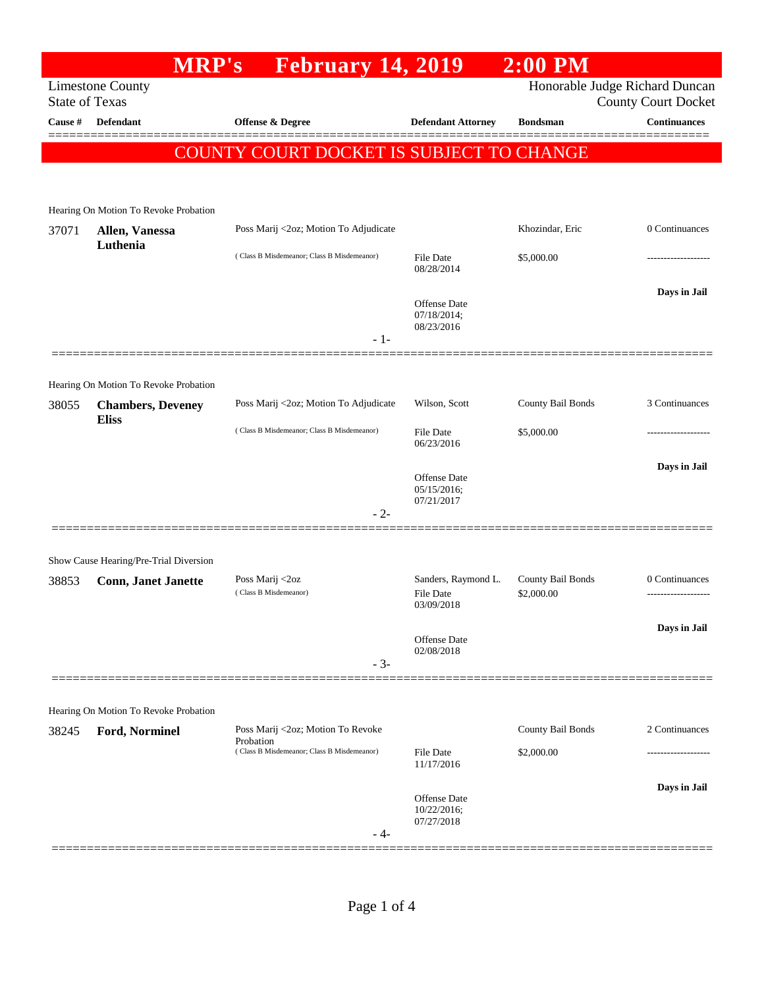## **MRP's February 14, 2019 2:00 PM** Limestone County Honorable Judge Richard Duncan State of Texas County Court Docket **Cause # Defendant Offense & Degree Defendant Attorney Bondsman Continuances** ============================================================================================== COUNTY COURT DOCKET IS SUBJECT TO CHANGE Hearing On Motion To Revoke Probation 37071 **Allen, Vanessa Luthenia** Poss Marij <2oz; Motion To Adjudicate Khozindar, Eric 0 Continuances ( Class B Misdemeanor; Class B Misdemeanor) File Date \$5,000.00 08/28/2014 **Days in Jail**  Offense Date 07/18/2014; 08/23/2016 - 1- ============================================================================================== Hearing On Motion To Revoke Probation 38055 **Chambers, Deveney Eliss** Poss Marij <2oz; Motion To Adjudicate Wilson, Scott County Bail Bonds 3 Continuances ( Class B Misdemeanor; Class B Misdemeanor) File Date \$5,000.00 06/23/2016 **Days in Jail**  Offense Date 05/15/2016; 07/21/2017 - 2- ============================================================================================== Show Cause Hearing/Pre-Trial Diversion 38853 **Conn, Janet Janette** Poss Marij <2oz Sanders, Raymond L. County Bail Bonds 0 Continuances ( Class B Misdemeanor) 03/09/2018 **Days in Jail**  Offense Date 02/08/2018 - 3- ============================================================================================== Hearing On Motion To Revoke Probation 38245 **Ford, Norminel** Poss Marij <2oz; Motion To Revoke **Probation** County Bail Bonds 2 Continuances ( Class B Misdemeanor; Class B Misdemeanor) File Date \$2,000.00 ------------------- 11/17/2016 **Days in Jail**  Offense Date 10/22/2016; 07/27/2018 - 4- ==============================================================================================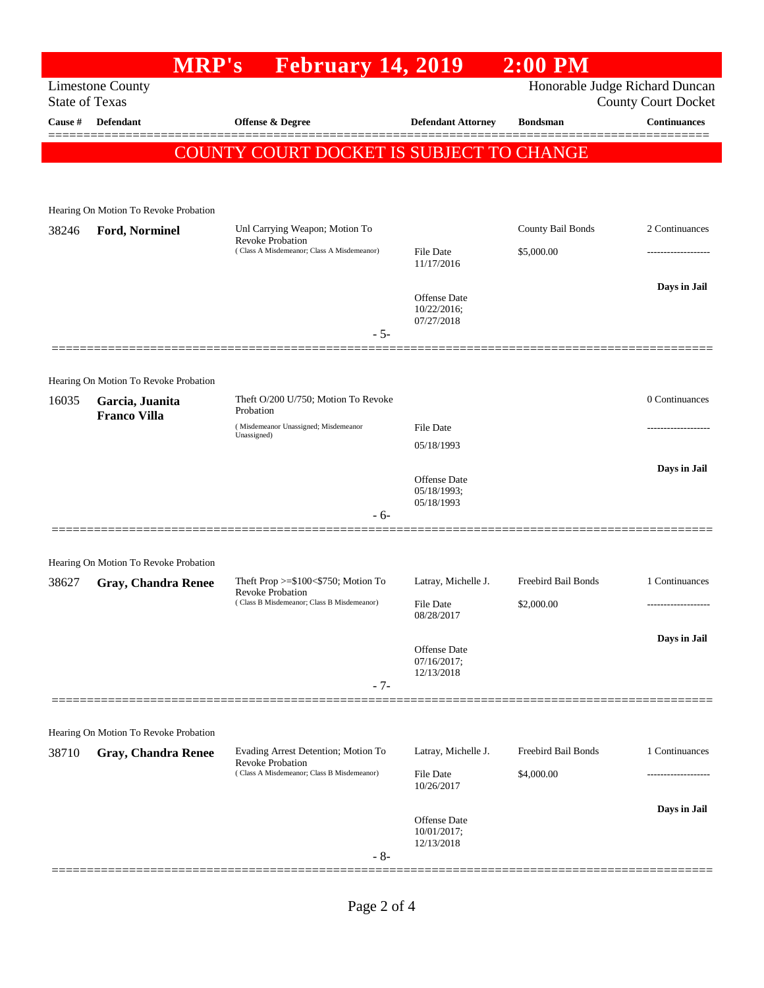## **MRP's February 14, 2019 2:00 PM** Limestone County Honorable Judge Richard Duncan State of Texas County Court Docket **Cause # Defendant Offense & Degree Defendant Attorney Bondsman Continuances** ============================================================================================== COUNTY COURT DOCKET IS SUBJECT TO CHANGE Hearing On Motion To Revoke Probation 38246 **Ford, Norminel** Unl Carrying Weapon; Motion To Revoke Probation County Bail Bonds 2 Continuances ( Class A Misdemeanor; Class A Misdemeanor) File Date \$5,000.00 11/17/2016 **Days in Jail**  Offense Date 10/22/2016; 07/27/2018 - 5- ============================================================================================== Hearing On Motion To Revoke Probation 16035 **Garcia, Juanita Franco Villa** Theft O/200 U/750; Motion To Revoke Probation 0 Continuances ( Misdemeanor Unassigned; Misdemeanor Unassigned) File Date 05/18/1993 **Days in Jail**  Offense Date 05/18/1993; 05/18/1993 - 6- ============================================================================================== Hearing On Motion To Revoke Probation 38627 **Gray, Chandra Renee** Theft Prop >=\$100<\$750; Motion To Revoke Probation Latray, Michelle J. Freebird Bail Bonds 1 Continuances ( Class B Misdemeanor; Class B Misdemeanor) File Date \$2,000.00 08/28/2017 **Days in Jail**  Offense Date 07/16/2017; 12/13/2018 - 7- ============================================================================================== Hearing On Motion To Revoke Probation 38710 **Gray, Chandra Renee** Evading Arrest Detention; Motion To Revoke Probation Latray, Michelle J. Freebird Bail Bonds 1 Continuances ( Class A Misdemeanor; Class B Misdemeanor) File Date \$4,000.00 10/26/2017 **Days in Jail**  Offense Date 10/01/2017; 12/13/2018 - 8- ==============================================================================================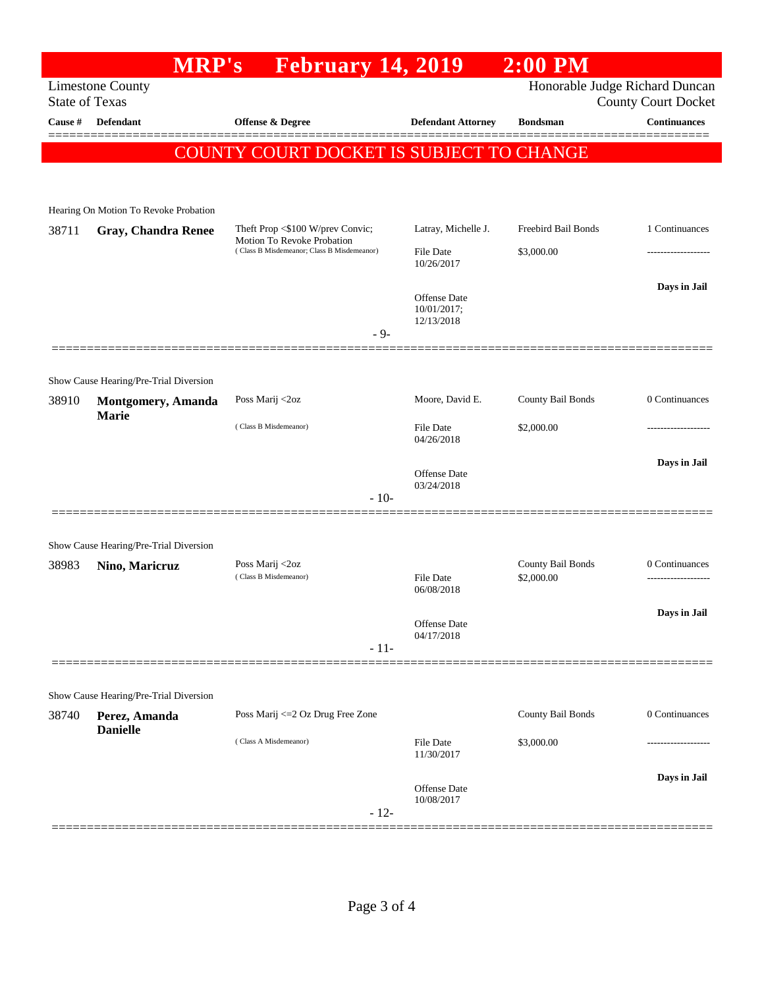## **MRP's February 14, 2019 2:00 PM** Limestone County Honorable Judge Richard Duncan State of Texas County Court Docket **Cause # Defendant Offense & Degree Defendant Attorney Bondsman Continuances** ============================================================================================== COUNTY COURT DOCKET IS SUBJECT TO CHANGE Hearing On Motion To Revoke Probation 38711 **Gray, Chandra Renee** Theft Prop <\$100 W/prev Convic; Motion To Revoke Probation Latray, Michelle J. Freebird Bail Bonds 1 Continuances ( Class B Misdemeanor; Class B Misdemeanor) File Date \$3,000.00 10/26/2017 **Days in Jail**  Offense Date 10/01/2017; 12/13/2018 - 9- ============================================================================================== Show Cause Hearing/Pre-Trial Diversion 38910 **Montgomery, Amanda Marie** Poss Marij <2oz Moore, David E. County Bail Bonds 0 Continuances ( Class B Misdemeanor) File Date \$2,000.00 ------------------- 04/26/2018 **Days in Jail**  Offense Date 03/24/2018 - 10- ============================================================================================== Show Cause Hearing/Pre-Trial Diversion 38983 **Nino, Maricruz** Poss Marij <2oz County Bail Bonds 0 Continuances ( Class B Misdemeanor) File Date \$2,000.00 ------------------- 06/08/2018 **Days in Jail**  Offense Date 04/17/2018 - 11- ============================================================================================== Show Cause Hearing/Pre-Trial Diversion 38740 **Perez, Amanda Danielle** Poss Marij <=2 Oz Drug Free Zone County Bail Bonds 0 Continuances ( Class A Misdemeanor) File Date \$3,000.00 11/30/2017 **Days in Jail**  Offense Date 10/08/2017 - 12- ==============================================================================================